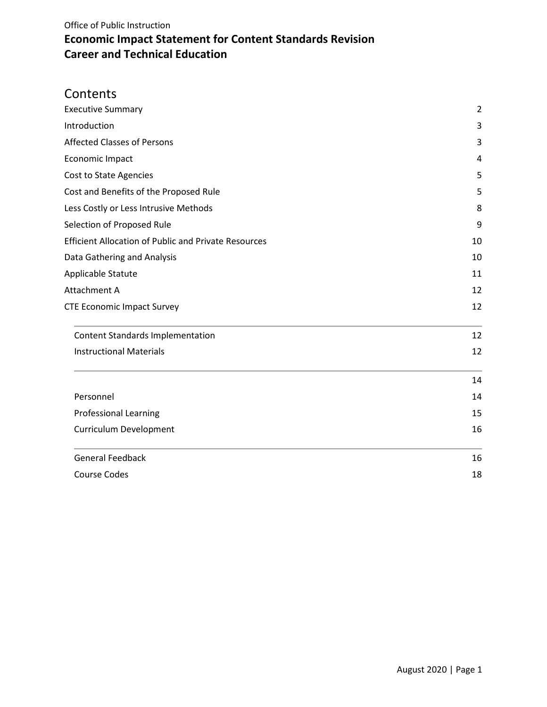## **Contents**

| <b>Executive Summary</b>                                          | $\overline{2}$ |
|-------------------------------------------------------------------|----------------|
| Introduction                                                      | 3              |
| <b>Affected Classes of Persons</b>                                | 3              |
| Economic Impact                                                   | 4              |
| Cost to State Agencies                                            | 5              |
| Cost and Benefits of the Proposed Rule                            | 5              |
| Less Costly or Less Intrusive Methods                             | 8              |
| Selection of Proposed Rule                                        | 9              |
| <b>Efficient Allocation of Public and Private Resources</b>       | 10             |
| Data Gathering and Analysis<br>Applicable Statute<br>Attachment A | 10             |
|                                                                   | 11             |
|                                                                   | 12             |
| <b>CTE Economic Impact Survey</b>                                 | 12             |
| <b>Content Standards Implementation</b>                           | 12             |
| <b>Instructional Materials</b>                                    | 12             |
|                                                                   | 14             |
| Personnel                                                         | 14             |
| <b>Professional Learning</b>                                      | 15             |
| <b>Curriculum Development</b>                                     | 16             |
| <b>General Feedback</b>                                           | 16             |
| <b>Course Codes</b>                                               | 18             |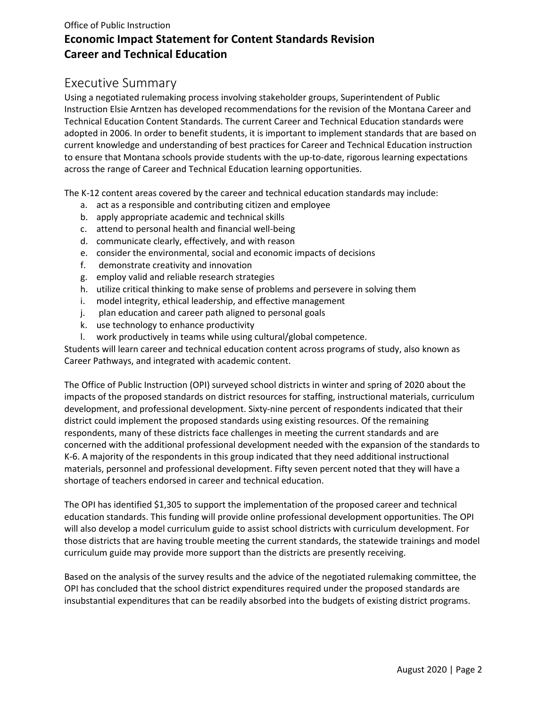# <span id="page-1-0"></span>Executive Summary

Using a negotiated rulemaking process involving stakeholder groups, Superintendent of Public Instruction Elsie Arntzen has developed recommendations for the revision of the Montana Career and Technical Education Content Standards. The current Career and Technical Education standards were adopted in 2006. In order to benefit students, it is important to implement standards that are based on current knowledge and understanding of best practices for Career and Technical Education instruction to ensure that Montana schools provide students with the up-to-date, rigorous learning expectations across the range of Career and Technical Education learning opportunities.

The K-12 content areas covered by the career and technical education standards may include:

- a. act as a responsible and contributing citizen and employee
- b. apply appropriate academic and technical skills
- c. attend to personal health and financial well-being
- d. communicate clearly, effectively, and with reason
- e. consider the environmental, social and economic impacts of decisions
- f. demonstrate creativity and innovation
- g. employ valid and reliable research strategies
- h. utilize critical thinking to make sense of problems and persevere in solving them
- i. model integrity, ethical leadership, and effective management
- j. plan education and career path aligned to personal goals
- k. use technology to enhance productivity
- l. work productively in teams while using cultural/global competence.

Students will learn career and technical education content across programs of study, also known as Career Pathways, and integrated with academic content.

The Office of Public Instruction (OPI) surveyed school districts in winter and spring of 2020 about the impacts of the proposed standards on district resources for staffing, instructional materials, curriculum development, and professional development. Sixty-nine percent of respondents indicated that their district could implement the proposed standards using existing resources. Of the remaining respondents, many of these districts face challenges in meeting the current standards and are concerned with the additional professional development needed with the expansion of the standards to K-6. A majority of the respondents in this group indicated that they need additional instructional materials, personnel and professional development. Fifty seven percent noted that they will have a shortage of teachers endorsed in career and technical education.

The OPI has identified \$1,305 to support the implementation of the proposed career and technical education standards. This funding will provide online professional development opportunities. The OPI will also develop a model curriculum guide to assist school districts with curriculum development. For those districts that are having trouble meeting the current standards, the statewide trainings and model curriculum guide may provide more support than the districts are presently receiving.

Based on the analysis of the survey results and the advice of the negotiated rulemaking committee, the OPI has concluded that the school district expenditures required under the proposed standards are insubstantial expenditures that can be readily absorbed into the budgets of existing district programs.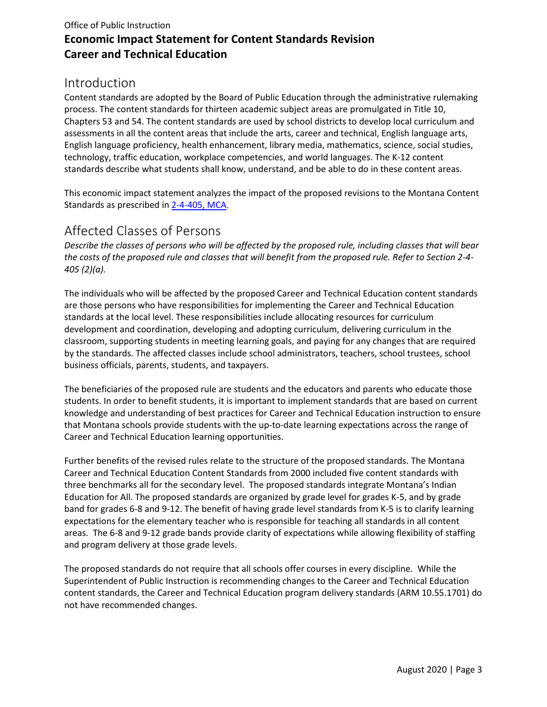## <span id="page-2-0"></span>Introduction

Content standards are adopted by the Board of Public Education through the administrative rulemaking process. The content standards for thirteen academic subject areas are promulgated in Title 10, Chapters 53 and 54. The content standards are used by school districts to develop local curriculum and assessments in all the content areas that include the arts, career and technical, English language arts, English language proficiency, health enhancement, library media, mathematics, science, social studies, technology, traffic education, workplace competencies, and world languages. The K-12 content standards describe what students shall know, understand, and be able to do in these content areas.

This economic impact statement analyzes the impact of the proposed revisions to the Montana Content Standards as prescribed in [2-4-405, MCA.](http://leg.mt.gov/bills/mca/2/4/2-4-405.htm)

# <span id="page-2-1"></span>Affected Classes of Persons

*Describe the classes of persons who will be affected by the proposed rule, including classes that will bear the costs of the proposed rule and classes that will benefit from the proposed rule. Refer to Section 2-4- 405 (2)(a).*

The individuals who will be affected by the proposed Career and Technical Education content standards are those persons who have responsibilities for implementing the Career and Technical Education standards at the local level. These responsibilities include allocating resources for curriculum development and coordination, developing and adopting curriculum, delivering curriculum in the classroom, supporting students in meeting learning goals, and paying for any changes that are required by the standards. The affected classes include school administrators, teachers, school trustees, school business officials, parents, students, and taxpayers.

The beneficiaries of the proposed rule are students and the educators and parents who educate those students. In order to benefit students, it is important to implement standards that are based on current knowledge and understanding of best practices for Career and Technical Education instruction to ensure that Montana schools provide students with the up-to-date learning expectations across the range of Career and Technical Education learning opportunities.

Further benefits of the revised rules relate to the structure of the proposed standards. The Montana Career and Technical Education Content Standards from 2000 included five content standards with three benchmarks all for the secondary level. The proposed standards integrate Montana's Indian Education for All. The proposed standards are organized by grade level for grades K-5, and by grade band for grades 6-8 and 9-12. The benefit of having grade level standards from K-5 is to clarify learning expectations for the elementary teacher who is responsible for teaching all standards in all content areas. The 6-8 and 9-12 grade bands provide clarity of expectations while allowing flexibility of staffing and program delivery at those grade levels.

The proposed standards do not require that all schools offer courses in every discipline. While the Superintendent of Public Instruction is recommending changes to the Career and Technical Education content standards, the Career and Technical Education program delivery standards (ARM 10.55.1701) do not have recommended changes.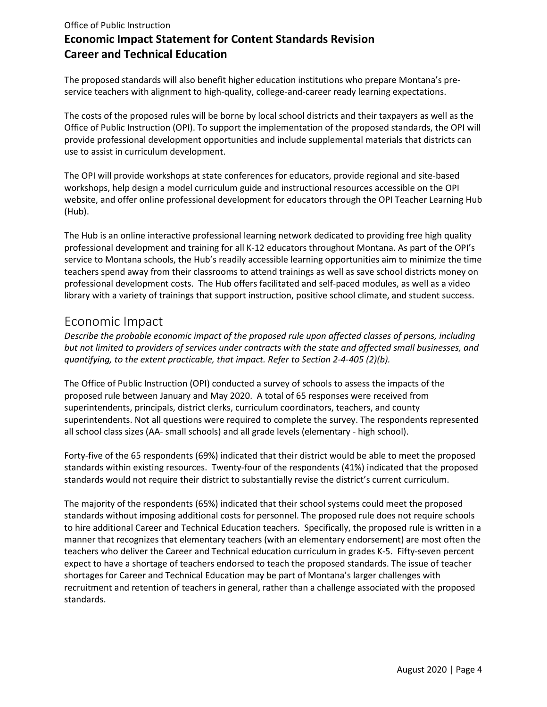The proposed standards will also benefit higher education institutions who prepare Montana's preservice teachers with alignment to high-quality, college-and-career ready learning expectations.

The costs of the proposed rules will be borne by local school districts and their taxpayers as well as the Office of Public Instruction (OPI). To support the implementation of the proposed standards, the OPI will provide professional development opportunities and include supplemental materials that districts can use to assist in curriculum development.

The OPI will provide workshops at state conferences for educators, provide regional and site-based workshops, help design a model curriculum guide and instructional resources accessible on the OPI website, and offer online professional development for educators through the OPI Teacher Learning Hub (Hub).

The Hub is an online interactive professional learning network dedicated to providing free high quality professional development and training for all K-12 educators throughout Montana. As part of the OPI's service to Montana schools, the Hub's readily accessible learning opportunities aim to minimize the time teachers spend away from their classrooms to attend trainings as well as save school districts money on professional development costs. The Hub offers facilitated and self-paced modules, as well as a video library with a variety of trainings that support instruction, positive school climate, and student success.

### <span id="page-3-0"></span>Economic Impact

*Describe the probable economic impact of the proposed rule upon affected classes of persons, including but not limited to providers of services under contracts with the state and affected small businesses, and quantifying, to the extent practicable, that impact. Refer to Section 2-4-405 (2)(b).*

The Office of Public Instruction (OPI) conducted a survey of schools to assess the impacts of the proposed rule between January and May 2020. A total of 65 responses were received from superintendents, principals, district clerks, curriculum coordinators, teachers, and county superintendents. Not all questions were required to complete the survey. The respondents represented all school class sizes (AA- small schools) and all grade levels (elementary - high school).

Forty-five of the 65 respondents (69%) indicated that their district would be able to meet the proposed standards within existing resources. Twenty-four of the respondents (41%) indicated that the proposed standards would not require their district to substantially revise the district's current curriculum.

The majority of the respondents (65%) indicated that their school systems could meet the proposed standards without imposing additional costs for personnel. The proposed rule does not require schools to hire additional Career and Technical Education teachers. Specifically, the proposed rule is written in a manner that recognizes that elementary teachers (with an elementary endorsement) are most often the teachers who deliver the Career and Technical education curriculum in grades K-5. Fifty-seven percent expect to have a shortage of teachers endorsed to teach the proposed standards. The issue of teacher shortages for Career and Technical Education may be part of Montana's larger challenges with recruitment and retention of teachers in general, rather than a challenge associated with the proposed standards.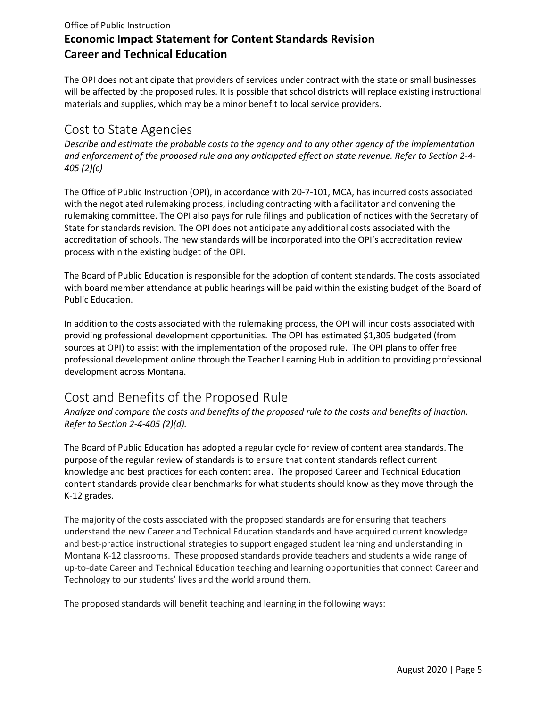The OPI does not anticipate that providers of services under contract with the state or small businesses will be affected by the proposed rules. It is possible that school districts will replace existing instructional materials and supplies, which may be a minor benefit to local service providers.

## <span id="page-4-0"></span>Cost to State Agencies

*Describe and estimate the probable costs to the agency and to any other agency of the implementation and enforcement of the proposed rule and any anticipated effect on state revenue. Refer to Section 2-4- 405 (2)(c)*

The Office of Public Instruction (OPI), in accordance with 20-7-101, MCA, has incurred costs associated with the negotiated rulemaking process, including contracting with a facilitator and convening the rulemaking committee. The OPI also pays for rule filings and publication of notices with the Secretary of State for standards revision. The OPI does not anticipate any additional costs associated with the accreditation of schools. The new standards will be incorporated into the OPI's accreditation review process within the existing budget of the OPI.

The Board of Public Education is responsible for the adoption of content standards. The costs associated with board member attendance at public hearings will be paid within the existing budget of the Board of Public Education.

In addition to the costs associated with the rulemaking process, the OPI will incur costs associated with providing professional development opportunities. The OPI has estimated \$1,305 budgeted (from sources at OPI) to assist with the implementation of the proposed rule. The OPI plans to offer free professional development online through the Teacher Learning Hub in addition to providing professional development across Montana.

## <span id="page-4-1"></span>Cost and Benefits of the Proposed Rule

*Analyze and compare the costs and benefits of the proposed rule to the costs and benefits of inaction. Refer to Section 2-4-405 (2)(d).*

The Board of Public Education has adopted a regular cycle for review of content area standards. The purpose of the regular review of standards is to ensure that content standards reflect current knowledge and best practices for each content area. The proposed Career and Technical Education content standards provide clear benchmarks for what students should know as they move through the K-12 grades.

The majority of the costs associated with the proposed standards are for ensuring that teachers understand the new Career and Technical Education standards and have acquired current knowledge and best-practice instructional strategies to support engaged student learning and understanding in Montana K-12 classrooms. These proposed standards provide teachers and students a wide range of up-to-date Career and Technical Education teaching and learning opportunities that connect Career and Technology to our students' lives and the world around them.

The proposed standards will benefit teaching and learning in the following ways: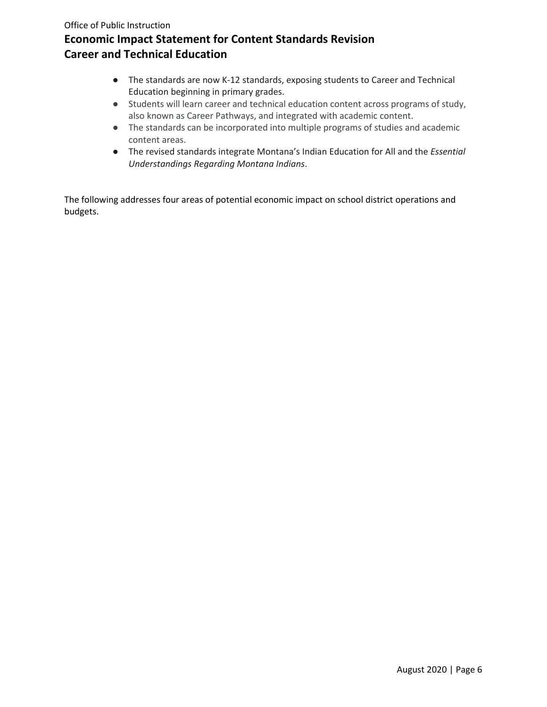- The standards are now K-12 standards, exposing students to Career and Technical Education beginning in primary grades.
- Students will learn career and technical education content across programs of study, also known as Career Pathways, and integrated with academic content.
- The standards can be incorporated into multiple programs of studies and academic content areas.
- The revised standards integrate Montana's Indian Education for All and the *Essential Understandings Regarding Montana Indians*.

The following addresses four areas of potential economic impact on school district operations and budgets.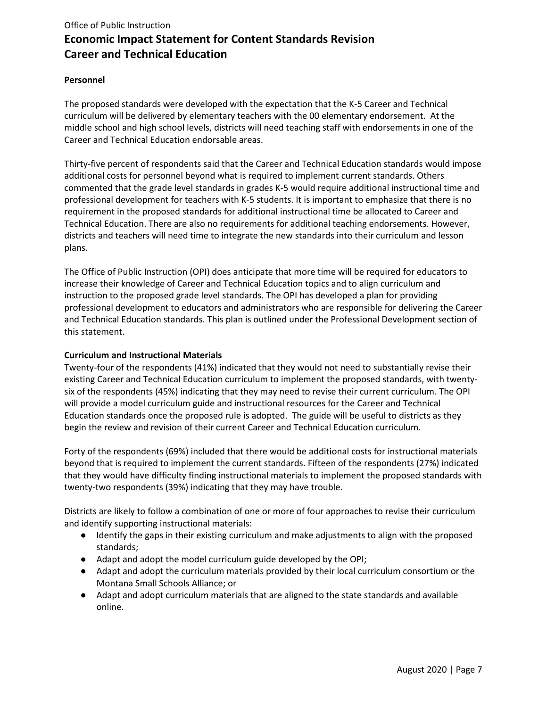#### **Personnel**

The proposed standards were developed with the expectation that the K-5 Career and Technical curriculum will be delivered by elementary teachers with the 00 elementary endorsement. At the middle school and high school levels, districts will need teaching staff with endorsements in one of the Career and Technical Education endorsable areas.

Thirty-five percent of respondents said that the Career and Technical Education standards would impose additional costs for personnel beyond what is required to implement current standards. Others commented that the grade level standards in grades K-5 would require additional instructional time and professional development for teachers with K-5 students. It is important to emphasize that there is no requirement in the proposed standards for additional instructional time be allocated to Career and Technical Education. There are also no requirements for additional teaching endorsements. However, districts and teachers will need time to integrate the new standards into their curriculum and lesson plans.

The Office of Public Instruction (OPI) does anticipate that more time will be required for educators to increase their knowledge of Career and Technical Education topics and to align curriculum and instruction to the proposed grade level standards. The OPI has developed a plan for providing professional development to educators and administrators who are responsible for delivering the Career and Technical Education standards. This plan is outlined under the Professional Development section of this statement.

#### **Curriculum and Instructional Materials**

Twenty-four of the respondents (41%) indicated that they would not need to substantially revise their existing Career and Technical Education curriculum to implement the proposed standards, with twentysix of the respondents (45%) indicating that they may need to revise their current curriculum. The OPI will provide a model curriculum guide and instructional resources for the Career and Technical Education standards once the proposed rule is adopted. The guide will be useful to districts as they begin the review and revision of their current Career and Technical Education curriculum.

Forty of the respondents (69%) included that there would be additional costs for instructional materials beyond that is required to implement the current standards. Fifteen of the respondents (27%) indicated that they would have difficulty finding instructional materials to implement the proposed standards with twenty-two respondents (39%) indicating that they may have trouble.

Districts are likely to follow a combination of one or more of four approaches to revise their curriculum and identify supporting instructional materials:

- Identify the gaps in their existing curriculum and make adjustments to align with the proposed standards;
- Adapt and adopt the model curriculum guide developed by the OPI;
- Adapt and adopt the curriculum materials provided by their local curriculum consortium or the Montana Small Schools Alliance; or
- Adapt and adopt curriculum materials that are aligned to the state standards and available online.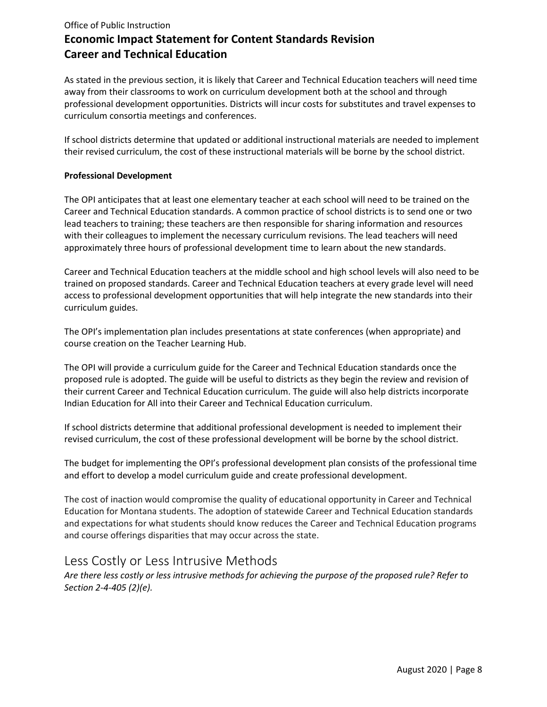As stated in the previous section, it is likely that Career and Technical Education teachers will need time away from their classrooms to work on curriculum development both at the school and through professional development opportunities. Districts will incur costs for substitutes and travel expenses to curriculum consortia meetings and conferences.

If school districts determine that updated or additional instructional materials are needed to implement their revised curriculum, the cost of these instructional materials will be borne by the school district.

#### **Professional Development**

The OPI anticipates that at least one elementary teacher at each school will need to be trained on the Career and Technical Education standards. A common practice of school districts is to send one or two lead teachers to training; these teachers are then responsible for sharing information and resources with their colleagues to implement the necessary curriculum revisions. The lead teachers will need approximately three hours of professional development time to learn about the new standards.

Career and Technical Education teachers at the middle school and high school levels will also need to be trained on proposed standards. Career and Technical Education teachers at every grade level will need access to professional development opportunities that will help integrate the new standards into their curriculum guides.

The OPI's implementation plan includes presentations at state conferences (when appropriate) and course creation on the Teacher Learning Hub.

The OPI will provide a curriculum guide for the Career and Technical Education standards once the proposed rule is adopted. The guide will be useful to districts as they begin the review and revision of their current Career and Technical Education curriculum. The guide will also help districts incorporate Indian Education for All into their Career and Technical Education curriculum.

If school districts determine that additional professional development is needed to implement their revised curriculum, the cost of these professional development will be borne by the school district.

The budget for implementing the OPI's professional development plan consists of the professional time and effort to develop a model curriculum guide and create professional development.

The cost of inaction would compromise the quality of educational opportunity in Career and Technical Education for Montana students. The adoption of statewide Career and Technical Education standards and expectations for what students should know reduces the Career and Technical Education programs and course offerings disparities that may occur across the state.

### <span id="page-7-0"></span>Less Costly or Less Intrusive Methods

*Are there less costly or less intrusive methods for achieving the purpose of the proposed rule? Refer to Section 2-4-405 (2)(e).*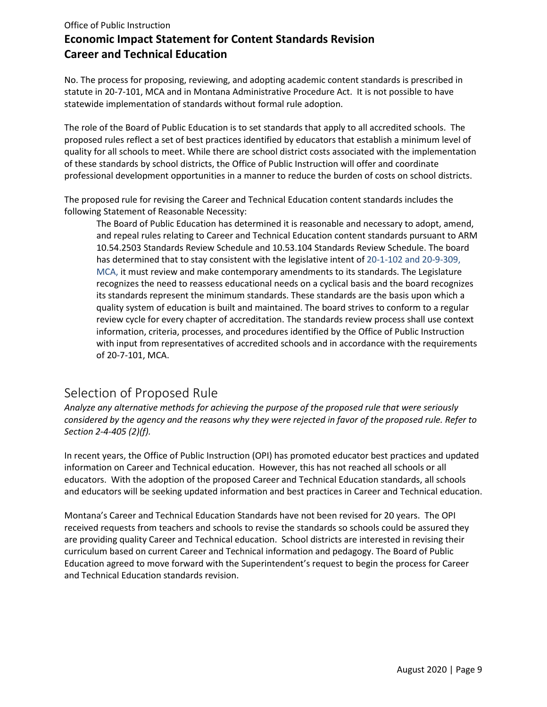No. The process for proposing, reviewing, and adopting academic content standards is prescribed in statute in 20-7-101, MCA and in Montana Administrative Procedure Act. It is not possible to have statewide implementation of standards without formal rule adoption.

The role of the Board of Public Education is to set standards that apply to all accredited schools. The proposed rules reflect a set of best practices identified by educators that establish a minimum level of quality for all schools to meet. While there are school district costs associated with the implementation of these standards by school districts, the Office of Public Instruction will offer and coordinate professional development opportunities in a manner to reduce the burden of costs on school districts.

The proposed rule for revising the Career and Technical Education content standards includes the following Statement of Reasonable Necessity:

The Board of Public Education has determined it is reasonable and necessary to adopt, amend, and repeal rules relating to Career and Technical Education content standards pursuant to ARM 10.54.2503 Standards Review Schedule and 10.53.104 Standards Review Schedule. The board has determined that to stay consistent with the legislative intent of 20-1-102 and 20-9-309, MCA, it must review and make contemporary amendments to its standards. The Legislature recognizes the need to reassess educational needs on a cyclical basis and the board recognizes its standards represent the minimum standards. These standards are the basis upon which a quality system of education is built and maintained. The board strives to conform to a regular review cycle for every chapter of accreditation. The standards review process shall use context information, criteria, processes, and procedures identified by the Office of Public Instruction with input from representatives of accredited schools and in accordance with the requirements of 20-7-101, MCA.

# <span id="page-8-0"></span>Selection of Proposed Rule

*Analyze any alternative methods for achieving the purpose of the proposed rule that were seriously considered by the agency and the reasons why they were rejected in favor of the proposed rule. Refer to Section 2-4-405 (2)(f).*

In recent years, the Office of Public Instruction (OPI) has promoted educator best practices and updated information on Career and Technical education. However, this has not reached all schools or all educators. With the adoption of the proposed Career and Technical Education standards, all schools and educators will be seeking updated information and best practices in Career and Technical education.

Montana's Career and Technical Education Standards have not been revised for 20 years. The OPI received requests from teachers and schools to revise the standards so schools could be assured they are providing quality Career and Technical education. School districts are interested in revising their curriculum based on current Career and Technical information and pedagogy. The Board of Public Education agreed to move forward with the Superintendent's request to begin the process for Career and Technical Education standards revision.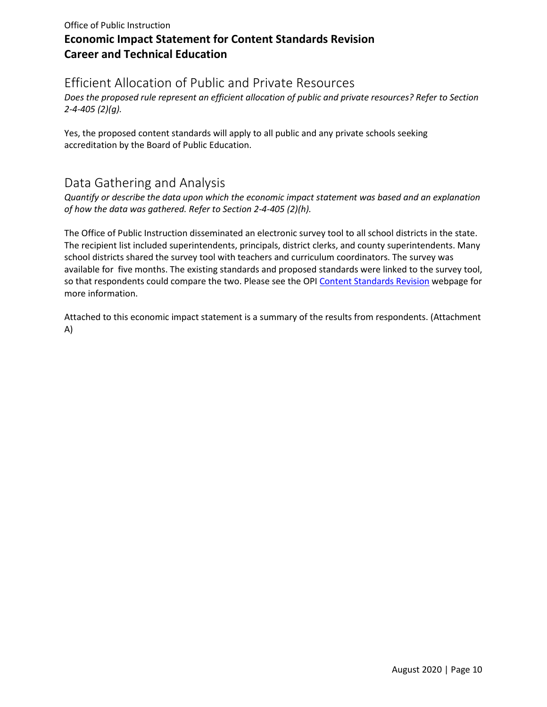# <span id="page-9-0"></span>Efficient Allocation of Public and Private Resources

*Does the proposed rule represent an efficient allocation of public and private resources? Refer to Section 2-4-405 (2)(g).*

Yes, the proposed content standards will apply to all public and any private schools seeking accreditation by the Board of Public Education.

# <span id="page-9-1"></span>Data Gathering and Analysis

*Quantify or describe the data upon which the economic impact statement was based and an explanation of how the data was gathered. Refer to Section 2-4-405 (2)(h).*

The Office of Public Instruction disseminated an electronic survey tool to all school districts in the state. The recipient list included superintendents, principals, district clerks, and county superintendents. Many school districts shared the survey tool with teachers and curriculum coordinators. The survey was available for five months. The existing standards and proposed standards were linked to the survey tool, so that respondents could compare the two. Please see the OP[I Content Standards Revision](http://opi.mt.gov/Educators/Teaching-Learning/K-12-Content-Standards-Revision) webpage for more information.

Attached to this economic impact statement is a summary of the results from respondents. (Attachment A)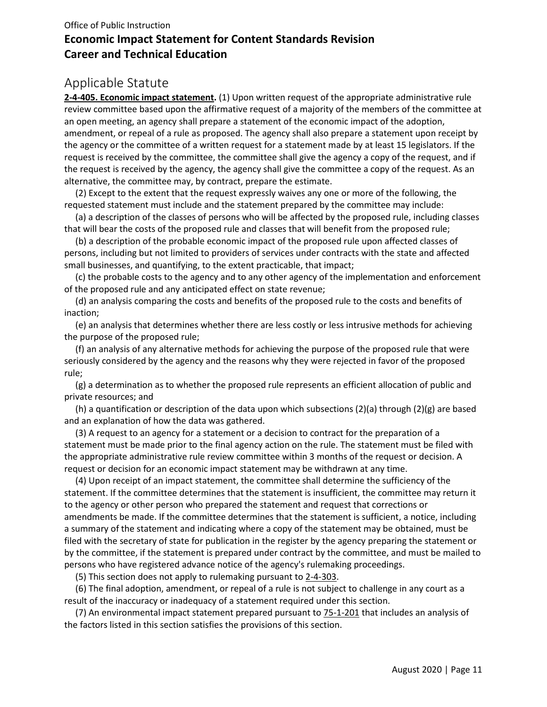# <span id="page-10-0"></span>Applicable Statute

**[2-4-405. Economic impact statement.](http://leg.mt.gov/bills/mca/2/4/2-4-405.htm)** (1) Upon written request of the appropriate administrative rule review committee based upon the affirmative request of a majority of the members of the committee at an open meeting, an agency shall prepare a statement of the economic impact of the adoption, amendment, or repeal of a rule as proposed. The agency shall also prepare a statement upon receipt by the agency or the committee of a written request for a statement made by at least 15 legislators. If the request is received by the committee, the committee shall give the agency a copy of the request, and if the request is received by the agency, the agency shall give the committee a copy of the request. As an alternative, the committee may, by contract, prepare the estimate.

 (2) Except to the extent that the request expressly waives any one or more of the following, the requested statement must include and the statement prepared by the committee may include:

 (a) a description of the classes of persons who will be affected by the proposed rule, including classes that will bear the costs of the proposed rule and classes that will benefit from the proposed rule;

 (b) a description of the probable economic impact of the proposed rule upon affected classes of persons, including but not limited to providers of services under contracts with the state and affected small businesses, and quantifying, to the extent practicable, that impact;

 (c) the probable costs to the agency and to any other agency of the implementation and enforcement of the proposed rule and any anticipated effect on state revenue;

 (d) an analysis comparing the costs and benefits of the proposed rule to the costs and benefits of inaction;

 (e) an analysis that determines whether there are less costly or less intrusive methods for achieving the purpose of the proposed rule;

 (f) an analysis of any alternative methods for achieving the purpose of the proposed rule that were seriously considered by the agency and the reasons why they were rejected in favor of the proposed rule;

 (g) a determination as to whether the proposed rule represents an efficient allocation of public and private resources; and

 (h) a quantification or description of the data upon which subsections (2)(a) through (2)(g) are based and an explanation of how the data was gathered.

 (3) A request to an agency for a statement or a decision to contract for the preparation of a statement must be made prior to the final agency action on the rule. The statement must be filed with the appropriate administrative rule review committee within 3 months of the request or decision. A request or decision for an economic impact statement may be withdrawn at any time.

 (4) Upon receipt of an impact statement, the committee shall determine the sufficiency of the statement. If the committee determines that the statement is insufficient, the committee may return it to the agency or other person who prepared the statement and request that corrections or amendments be made. If the committee determines that the statement is sufficient, a notice, including a summary of the statement and indicating where a copy of the statement may be obtained, must be filed with the secretary of state for publication in the register by the agency preparing the statement or by the committee, if the statement is prepared under contract by the committee, and must be mailed to persons who have registered advance notice of the agency's rulemaking proceedings.

(5) This section does not apply to rulemaking pursuant to [2-4-303.](http://leg.mt.gov/bills/mca/2/4/2-4-303.htm)

 (6) The final adoption, amendment, or repeal of a rule is not subject to challenge in any court as a result of the inaccuracy or inadequacy of a statement required under this section.

(7) An environmental impact statement prepared pursuant to  $75-1-201$  that includes an analysis of the factors listed in this section satisfies the provisions of this section.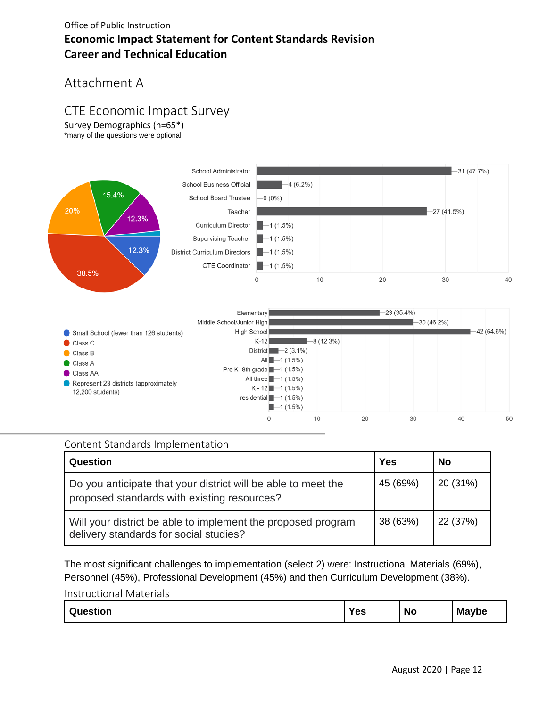# <span id="page-11-0"></span>Attachment A

# <span id="page-11-1"></span>CTE Economic Impact Survey

Survey Demographics (n=65\*) \*many of the questions were optional



### <span id="page-11-2"></span>Content Standards Implementation

| Question                                                                                                     | Yes      | <b>No</b> |
|--------------------------------------------------------------------------------------------------------------|----------|-----------|
| Do you anticipate that your district will be able to meet the<br>proposed standards with existing resources? | 45 (69%) | 20 (31%)  |
| Will your district be able to implement the proposed program<br>delivery standards for social studies?       | 38 (63%) | 22 (37%)  |

The most significant challenges to implementation (select 2) were: Instructional Materials (69%), Personnel (45%), Professional Development (45%) and then Curriculum Development (38%).

#### <span id="page-11-3"></span>Instructional Materials

| <b>Maybe</b><br>Yes<br>Question<br>NC<br><u>''</u> |
|----------------------------------------------------|
|----------------------------------------------------|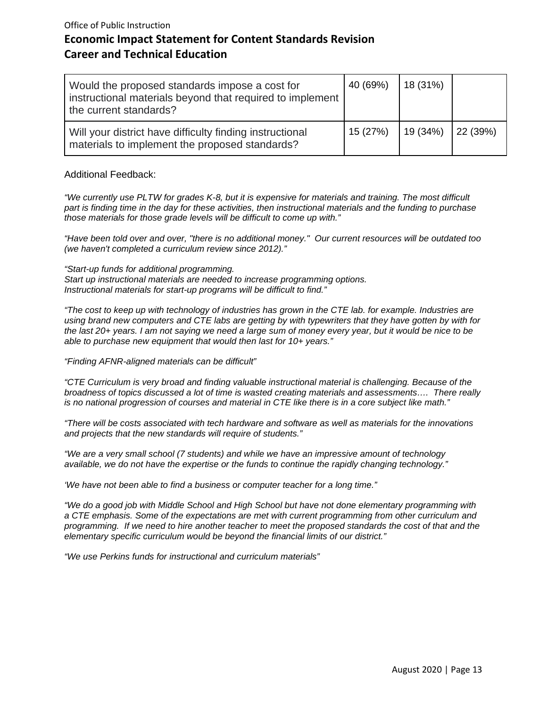| Would the proposed standards impose a cost for<br>  instructional materials beyond that required to implement  <br>the current standards? | 40 (69%) | 18(31%) |          |
|-------------------------------------------------------------------------------------------------------------------------------------------|----------|---------|----------|
| Will your district have difficulty finding instructional<br>materials to implement the proposed standards?                                | 15 (27%) | 19(34%) | 22 (39%) |

#### Additional Feedback:

*"We currently use PLTW for grades K-8, but it is expensive for materials and training. The most difficult part is finding time in the day for these activities, then instructional materials and the funding to purchase those materials for those grade levels will be difficult to come up with."*

*"Have been told over and over, "there is no additional money." Our current resources will be outdated too (we haven't completed a curriculum review since 2012)."*

*"Start-up funds for additional programming.*

*Start up instructional materials are needed to increase programming options. Instructional materials for start-up programs will be difficult to find."*

*"The cost to keep up with technology of industries has grown in the CTE lab. for example. Industries are using brand new computers and CTE labs are getting by with typewriters that they have gotten by with for the last 20+ years. I am not saying we need a large sum of money every year, but it would be nice to be able to purchase new equipment that would then last for 10+ years."* 

#### *"Finding AFNR-aligned materials can be difficult"*

*"CTE Curriculum is very broad and finding valuable instructional material is challenging. Because of the broadness of topics discussed a lot of time is wasted creating materials and assessments…. There really is no national progression of courses and material in CTE like there is in a core subject like math."*

*"There will be costs associated with tech hardware and software as well as materials for the innovations and projects that the new standards will require of students."* 

*"We are a very small school (7 students) and while we have an impressive amount of technology available, we do not have the expertise or the funds to continue the rapidly changing technology."*

*'We have not been able to find a business or computer teacher for a long time."*

*"We do a good job with Middle School and High School but have not done elementary programming with a CTE emphasis. Some of the expectations are met with current programming from other curriculum and programming. If we need to hire another teacher to meet the proposed standards the cost of that and the elementary specific curriculum would be beyond the financial limits of our district."*

*"We use Perkins funds for instructional and curriculum materials"*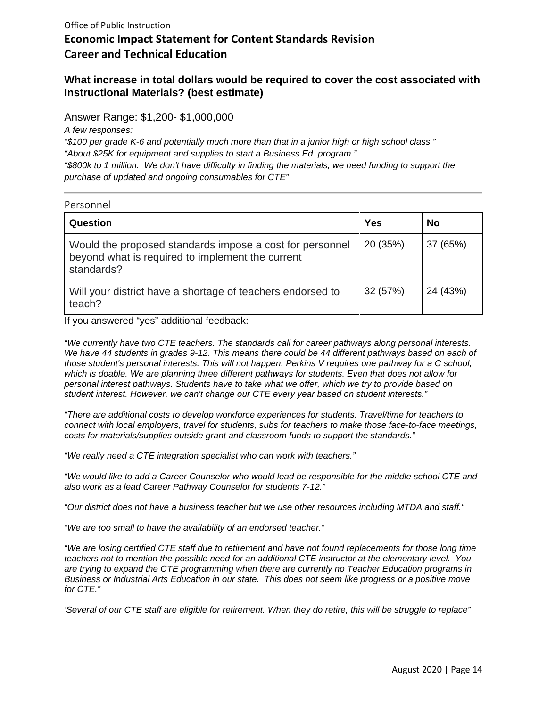#### **What increase in total dollars would be required to cover the cost associated with Instructional Materials? (best estimate)**

Answer Range: \$1,200- \$1,000,000

*A few responses:* 

*"\$100 per grade K-6 and potentially much more than that in a junior high or high school class." "About \$25K for equipment and supplies to start a Business Ed. program." "\$800k to 1 million. We don't have difficulty in finding the materials, we need funding to support the purchase of updated and ongoing consumables for CTE"*

<span id="page-13-1"></span><span id="page-13-0"></span>

| Personnel                                                                                                                  |          |          |
|----------------------------------------------------------------------------------------------------------------------------|----------|----------|
| Question                                                                                                                   | Yes      | No       |
| Would the proposed standards impose a cost for personnel<br>beyond what is required to implement the current<br>standards? | 20 (35%) | 37 (65%) |
| Will your district have a shortage of teachers endorsed to<br>teach?                                                       | 32 (57%) | 24 (43%) |

If you answered "yes" additional feedback:

*"We currently have two CTE teachers. The standards call for career pathways along personal interests.*  We have 44 students in grades 9-12. This means there could be 44 different pathways based on each of *those student's personal interests. This will not happen. Perkins V requires one pathway for a C school, which is doable. We are planning three different pathways for students. Even that does not allow for personal interest pathways. Students have to take what we offer, which we try to provide based on student interest. However, we can't change our CTE every year based on student interests."*

*"There are additional costs to develop workforce experiences for students. Travel/time for teachers to connect with local employers, travel for students, subs for teachers to make those face-to-face meetings, costs for materials/supplies outside grant and classroom funds to support the standards."*

*"We really need a CTE integration specialist who can work with teachers."*

*"We would like to add a Career Counselor who would lead be responsible for the middle school CTE and also work as a lead Career Pathway Counselor for students 7-12."* 

*"Our district does not have a business teacher but we use other resources including MTDA and staff."*

*"We are too small to have the availability of an endorsed teacher."*

*"We are losing certified CTE staff due to retirement and have not found replacements for those long time teachers not to mention the possible need for an additional CTE instructor at the elementary level. You are trying to expand the CTE programming when there are currently no Teacher Education programs in Business or Industrial Arts Education in our state. This does not seem like progress or a positive move for CTE."*

*'Several of our CTE staff are eligible for retirement. When they do retire, this will be struggle to replace"*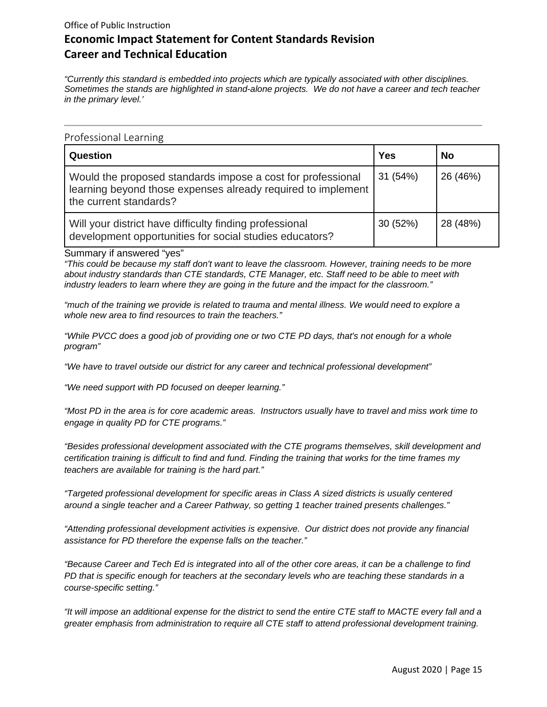*"Currently this standard is embedded into projects which are typically associated with other disciplines. Sometimes the stands are highlighted in stand-alone projects. We do not have a career and tech teacher in the primary level.'* 

<span id="page-14-0"></span>

| Question                                                                                                                                              | Yes      | <b>No</b> |
|-------------------------------------------------------------------------------------------------------------------------------------------------------|----------|-----------|
| Would the proposed standards impose a cost for professional<br>learning beyond those expenses already required to implement<br>the current standards? | 31 (54%) | 26 (46%)  |
| Will your district have difficulty finding professional<br>development opportunities for social studies educators?                                    | 30 (52%) | 28 (48%)  |

Summary if answered "yes"

*"This could be because my staff don't want to leave the classroom. However, training needs to be more about industry standards than CTE standards, CTE Manager, etc. Staff need to be able to meet with industry leaders to learn where they are going in the future and the impact for the classroom."*

*"much of the training we provide is related to trauma and mental illness. We would need to explore a whole new area to find resources to train the teachers."*

*"While PVCC does a good job of providing one or two CTE PD days, that's not enough for a whole program"*

*"We have to travel outside our district for any career and technical professional development"*

*"We need support with PD focused on deeper learning."* 

*"Most PD in the area is for core academic areas. Instructors usually have to travel and miss work time to engage in quality PD for CTE programs."*

*"Besides professional development associated with the CTE programs themselves, skill development and certification training is difficult to find and fund. Finding the training that works for the time frames my teachers are available for training is the hard part."*

*"Targeted professional development for specific areas in Class A sized districts is usually centered around a single teacher and a Career Pathway, so getting 1 teacher trained presents challenges."*

*"Attending professional development activities is expensive. Our district does not provide any financial assistance for PD therefore the expense falls on the teacher."*

*"Because Career and Tech Ed is integrated into all of the other core areas, it can be a challenge to find PD that is specific enough for teachers at the secondary levels who are teaching these standards in a course-specific setting."* 

*"It will impose an additional expense for the district to send the entire CTE staff to MACTE every fall and a greater emphasis from administration to require all CTE staff to attend professional development training.*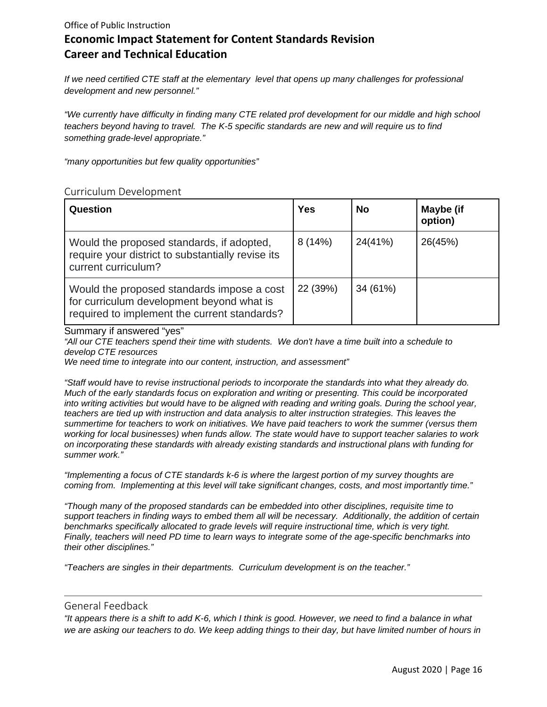*If we need certified CTE staff at the elementary level that opens up many challenges for professional development and new personnel."*

*"We currently have difficulty in finding many CTE related prof development for our middle and high school teachers beyond having to travel. The K-5 specific standards are new and will require us to find something grade-level appropriate."* 

*"many opportunities but few quality opportunities"*

#### <span id="page-15-0"></span>Curriculum Development

| Question                                                                                                                                | Yes      | <b>No</b> | Maybe (if<br>option) |
|-----------------------------------------------------------------------------------------------------------------------------------------|----------|-----------|----------------------|
| Would the proposed standards, if adopted,<br>require your district to substantially revise its<br>current curriculum?                   | 8(14%)   | 24(41%)   | 26(45%)              |
| Would the proposed standards impose a cost<br>for curriculum development beyond what is<br>required to implement the current standards? | 22 (39%) | 34 (61%)  |                      |

Summary if answered "yes"

*"All our CTE teachers spend their time with students. We don't have a time built into a schedule to develop CTE resources*

*We need time to integrate into our content, instruction, and assessment"* 

*"Staff would have to revise instructional periods to incorporate the standards into what they already do. Much of the early standards focus on exploration and writing or presenting. This could be incorporated into writing activities but would have to be aligned with reading and writing goals. During the school year, teachers are tied up with instruction and data analysis to alter instruction strategies. This leaves the summertime for teachers to work on initiatives. We have paid teachers to work the summer (versus them working for local businesses) when funds allow. The state would have to support teacher salaries to work on incorporating these standards with already existing standards and instructional plans with funding for summer work."*

*"Implementing a focus of CTE standards k-6 is where the largest portion of my survey thoughts are coming from. Implementing at this level will take significant changes, costs, and most importantly time."* 

*"Though many of the proposed standards can be embedded into other disciplines, requisite time to support teachers in finding ways to embed them all will be necessary. Additionally, the addition of certain benchmarks specifically allocated to grade levels will require instructional time, which is very tight. Finally, teachers will need PD time to learn ways to integrate some of the age-specific benchmarks into their other disciplines."* 

*"Teachers are singles in their departments. Curriculum development is on the teacher."*

#### <span id="page-15-1"></span>General Feedback

*"It appears there is a shift to add K-6, which I think is good. However, we need to find a balance in what we are asking our teachers to do. We keep adding things to their day, but have limited number of hours in*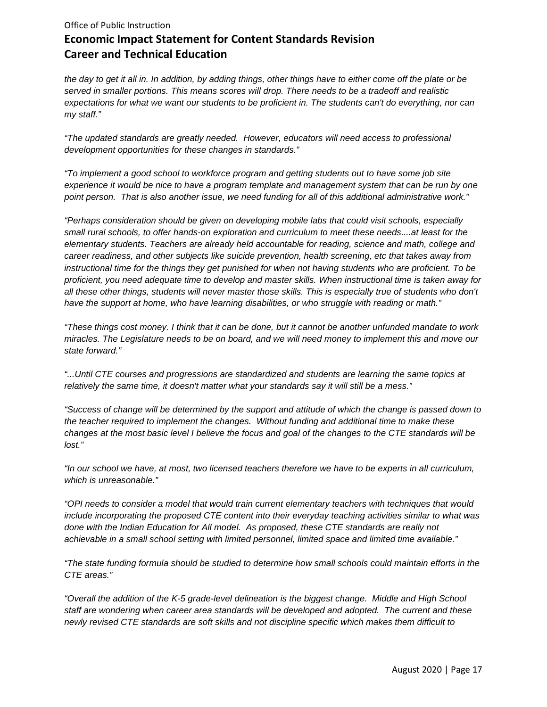*the day to get it all in. In addition, by adding things, other things have to either come off the plate or be served in smaller portions. This means scores will drop. There needs to be a tradeoff and realistic expectations for what we want our students to be proficient in. The students can't do everything, nor can my staff."*

*"The updated standards are greatly needed. However, educators will need access to professional development opportunities for these changes in standards."*

*"To implement a good school to workforce program and getting students out to have some job site experience it would be nice to have a program template and management system that can be run by one point person. That is also another issue, we need funding for all of this additional administrative work."*

*"Perhaps consideration should be given on developing mobile labs that could visit schools, especially small rural schools, to offer hands-on exploration and curriculum to meet these needs....at least for the elementary students. Teachers are already held accountable for reading, science and math, college and career readiness, and other subjects like suicide prevention, health screening, etc that takes away from instructional time for the things they get punished for when not having students who are proficient. To be proficient, you need adequate time to develop and master skills. When instructional time is taken away for all these other things, students will never master those skills. This is especially true of students who don't have the support at home, who have learning disabilities, or who struggle with reading or math."*

*"These things cost money. I think that it can be done, but it cannot be another unfunded mandate to work miracles. The Legislature needs to be on board, and we will need money to implement this and move our state forward."*

*"...Until CTE courses and progressions are standardized and students are learning the same topics at relatively the same time, it doesn't matter what your standards say it will still be a mess."*

*"Success of change will be determined by the support and attitude of which the change is passed down to the teacher required to implement the changes. Without funding and additional time to make these changes at the most basic level I believe the focus and goal of the changes to the CTE standards will be lost."* 

*"In our school we have, at most, two licensed teachers therefore we have to be experts in all curriculum, which is unreasonable."*

*"OPI needs to consider a model that would train current elementary teachers with techniques that would include incorporating the proposed CTE content into their everyday teaching activities similar to what was done with the Indian Education for All model. As proposed, these CTE standards are really not achievable in a small school setting with limited personnel, limited space and limited time available."*

*"The state funding formula should be studied to determine how small schools could maintain efforts in the CTE areas."* 

*"Overall the addition of the K-5 grade-level delineation is the biggest change. Middle and High School staff are wondering when career area standards will be developed and adopted. The current and these newly revised CTE standards are soft skills and not discipline specific which makes them difficult to*